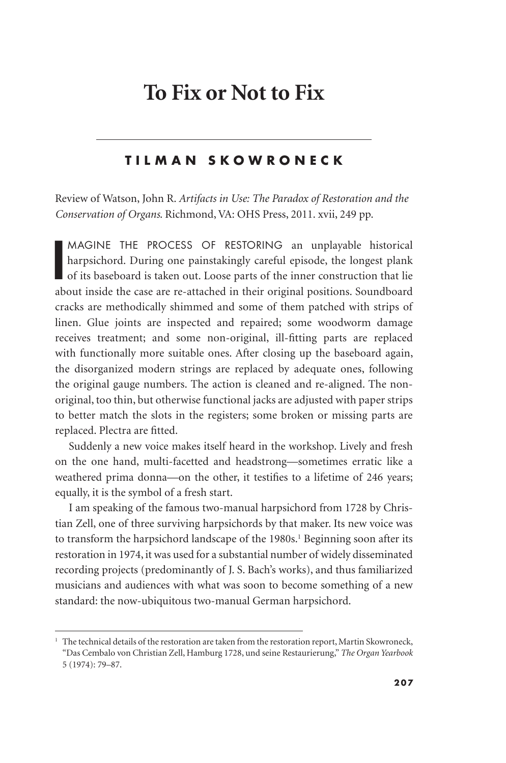## **To Fix or Not to Fix**

## **TILMAN SKOWRONECK**

Review of Watson, John R. *Artifacts in Use: The Paradox of Restoration and the Conservation of Organs*. Richmond, VA: OHS Press, 2011. xvii, 249 pp.

I<sub>d</sub> MAGINE THE PROCESS OF RESTORING an unplayable historical harpsichord. During one painstakingly careful episode, the longest plank of its baseboard is taken out. Loose parts of the inner construction that lie about inside the case are re-attached in their original positions. Soundboard cracks are methodically shimmed and some of them patched with strips of linen. Glue joints are inspected and repaired; some woodworm damage receives treatment; and some non-original, ill-fitting parts are replaced with functionally more suitable ones. After closing up the baseboard again, the disorganized modern strings are replaced by adequate ones, following the original gauge numbers. The action is cleaned and re-aligned. The nonoriginal, too thin, but otherwise functional jacks are adjusted with paper strips to better match the slots in the registers; some broken or missing parts are replaced. Plectra are fitted.

Suddenly a new voice makes itself heard in the workshop. Lively and fresh on the one hand, multi-facetted and headstrong—sometimes erratic like a weathered prima donna—on the other, it testifies to a lifetime of 246 years; equally, it is the symbol of a fresh start.

I am speaking of the famous two-manual harpsichord from 1728 by Christian Zell, one of three surviving harpsichords by that maker. Its new voice was to transform the harpsichord landscape of the 1980s.<sup>1</sup> Beginning soon after its restoration in 1974, it was used for a substantial number of widely disseminated recording projects (predominantly of J. S. Bach's works), and thus familiarized musicians and audiences with what was soon to become something of a new standard: the now-ubiquitous two-manual German harpsichord.

 $1$  The technical details of the restoration are taken from the restoration report, Martin Skowroneck, "Das Cembalo von Christian Zell, Hamburg 1728, und seine Restaurierung," *The Organ Yearbook* 5 (1974): 79–87.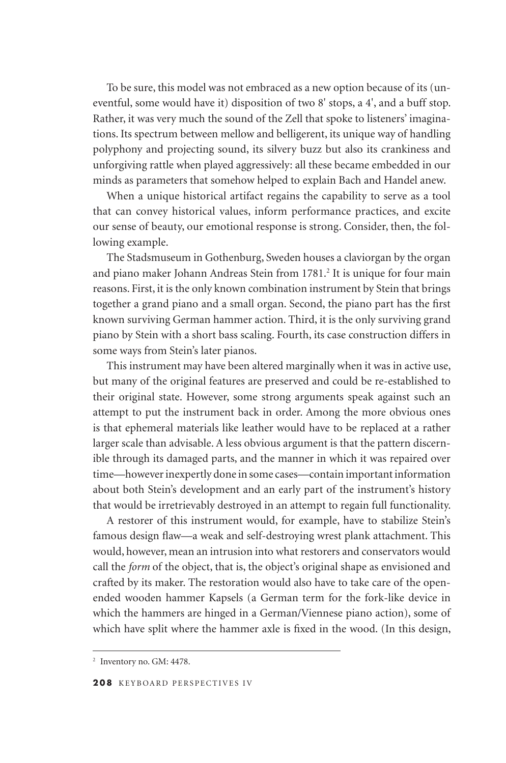To be sure, this model was not embraced as a new option because of its (uneventful, some would have it) disposition of two 8' stops, a 4', and a buff stop. Rather, it was very much the sound of the Zell that spoke to listeners' imaginations. Its spectrum between mellow and belligerent, its unique way of handling polyphony and projecting sound, its silvery buzz but also its crankiness and unforgiving rattle when played aggressively: all these became embedded in our minds as parameters that somehow helped to explain Bach and Handel anew.

When a unique historical artifact regains the capability to serve as a tool that can convey historical values, inform performance practices, and excite our sense of beauty, our emotional response is strong. Consider, then, the following example.

The Stadsmuseum in Gothenburg, Sweden houses a claviorgan by the organ and piano maker Johann Andreas Stein from 1781.<sup>2</sup> It is unique for four main reasons. First, it is the only known combination instrument by Stein that brings together a grand piano and a small organ. Second, the piano part has the first known surviving German hammer action. Third, it is the only surviving grand piano by Stein with a short bass scaling. Fourth, its case construction differs in some ways from Stein's later pianos.

This instrument may have been altered marginally when it was in active use, but many of the original features are preserved and could be re-established to their original state. However, some strong arguments speak against such an attempt to put the instrument back in order. Among the more obvious ones is that ephemeral materials like leather would have to be replaced at a rather larger scale than advisable. A less obvious argument is that the pattern discernible through its damaged parts, and the manner in which it was repaired over time—however inexpertly done in some cases—contain important information about both Stein's development and an early part of the instrument's history that would be irretrievably destroyed in an attempt to regain full functionality.

A restorer of this instrument would, for example, have to stabilize Stein's famous design flaw—a weak and self-destroying wrest plank attachment. This would, however, mean an intrusion into what restorers and conservators would call the *form* of the object, that is, the object's original shape as envisioned and crafted by its maker. The restoration would also have to take care of the openended wooden hammer Kapsels (a German term for the fork-like device in which the hammers are hinged in a German/Viennese piano action), some of which have split where the hammer axle is fixed in the wood. (In this design,

<sup>2</sup> Inventory no. GM: 4478.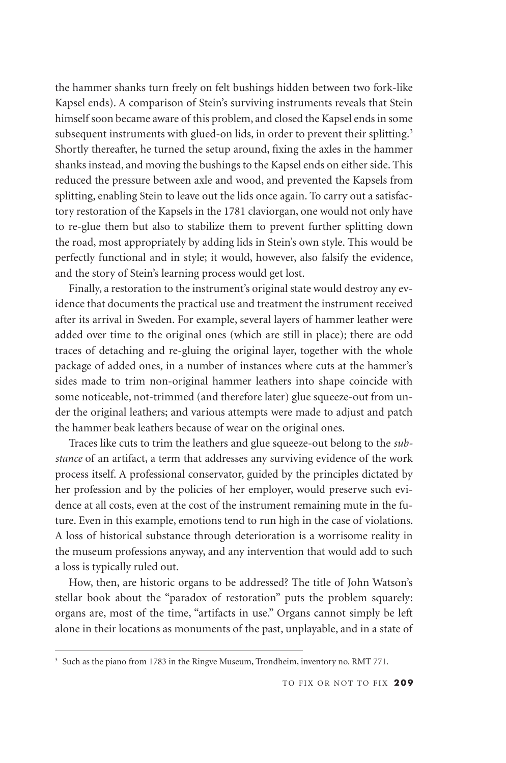the hammer shanks turn freely on felt bushings hidden between two fork-like Kapsel ends). A comparison of Stein's surviving instruments reveals that Stein himself soon became aware of this problem, and closed the Kapsel ends in some subsequent instruments with glued-on lids, in order to prevent their splitting.<sup>3</sup> Shortly thereafter, he turned the setup around, fixing the axles in the hammer shanks instead, and moving the bushings to the Kapsel ends on either side. This reduced the pressure between axle and wood, and prevented the Kapsels from splitting, enabling Stein to leave out the lids once again. To carry out a satisfactory restoration of the Kapsels in the 1781 claviorgan, one would not only have to re-glue them but also to stabilize them to prevent further splitting down the road, most appropriately by adding lids in Stein's own style. This would be perfectly functional and in style; it would, however, also falsify the evidence, and the story of Stein's learning process would get lost.

Finally, a restoration to the instrument's original state would destroy any evidence that documents the practical use and treatment the instrument received after its arrival in Sweden. For example, several layers of hammer leather were added over time to the original ones (which are still in place); there are odd traces of detaching and re-gluing the original layer, together with the whole package of added ones, in a number of instances where cuts at the hammer's sides made to trim non-original hammer leathers into shape coincide with some noticeable, not-trimmed (and therefore later) glue squeeze-out from under the original leathers; and various attempts were made to adjust and patch the hammer beak leathers because of wear on the original ones.

Traces like cuts to trim the leathers and glue squeeze-out belong to the *substance* of an artifact, a term that addresses any surviving evidence of the work process itself. A professional conservator, guided by the principles dictated by her profession and by the policies of her employer, would preserve such evidence at all costs, even at the cost of the instrument remaining mute in the future. Even in this example, emotions tend to run high in the case of violations. A loss of historical substance through deterioration is a worrisome reality in the museum professions anyway, and any intervention that would add to such a loss is typically ruled out.

How, then, are historic organs to be addressed? The title of John Watson's stellar book about the "paradox of restoration" puts the problem squarely: organs are, most of the time, "artifacts in use." Organs cannot simply be left alone in their locations as monuments of the past, unplayable, and in a state of

<sup>&</sup>lt;sup>3</sup> Such as the piano from 1783 in the Ringve Museum, Trondheim, inventory no. RMT 771.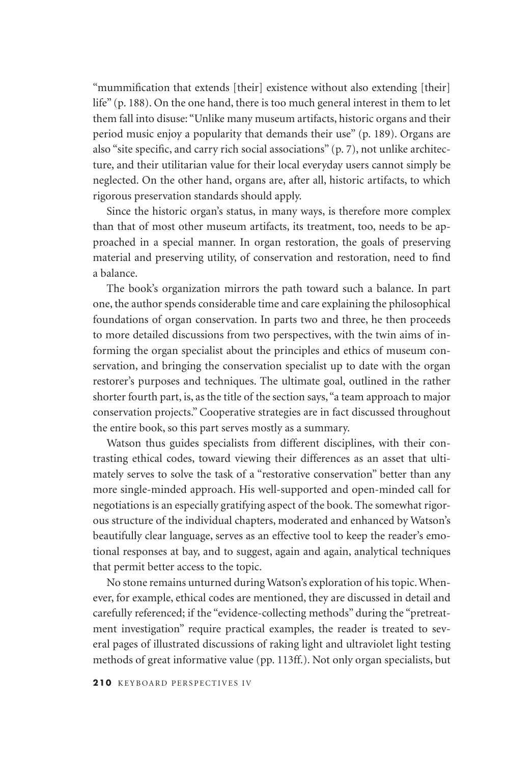"mummification that extends [their] existence without also extending [their] life" (p. 188). On the one hand, there is too much general interest in them to let them fall into disuse: "Unlike many museum artifacts, historic organs and their period music enjoy a popularity that demands their use" (p. 189). Organs are also "site specific, and carry rich social associations" (p. 7), not unlike architecture, and their utilitarian value for their local everyday users cannot simply be neglected. On the other hand, organs are, after all, historic artifacts, to which rigorous preservation standards should apply.

Since the historic organ's status, in many ways, is therefore more complex than that of most other museum artifacts, its treatment, too, needs to be approached in a special manner. In organ restoration, the goals of preserving material and preserving utility, of conservation and restoration, need to find a balance.

The book's organization mirrors the path toward such a balance. In part one, the author spends considerable time and care explaining the philosophical foundations of organ conservation. In parts two and three, he then proceeds to more detailed discussions from two perspectives, with the twin aims of informing the organ specialist about the principles and ethics of museum conservation, and bringing the conservation specialist up to date with the organ restorer's purposes and techniques. The ultimate goal, outlined in the rather shorter fourth part, is, as the title of the section says, "a team approach to major conservation projects." Cooperative strategies are in fact discussed throughout the entire book, so this part serves mostly as a summary.

Watson thus guides specialists from different disciplines, with their contrasting ethical codes, toward viewing their differences as an asset that ultimately serves to solve the task of a "restorative conservation" better than any more single-minded approach. His well-supported and open-minded call for negotiations is an especially gratifying aspect of the book. The somewhat rigorous structure of the individual chapters, moderated and enhanced by Watson's beautifully clear language, serves as an effective tool to keep the reader's emotional responses at bay, and to suggest, again and again, analytical techniques that permit better access to the topic.

No stone remains unturned during Watson's exploration of his topic. Whenever, for example, ethical codes are mentioned, they are discussed in detail and carefully referenced; if the "evidence-collecting methods" during the "pretreatment investigation" require practical examples, the reader is treated to several pages of illustrated discussions of raking light and ultraviolet light testing methods of great informative value (pp. 113ff.). Not only organ specialists, but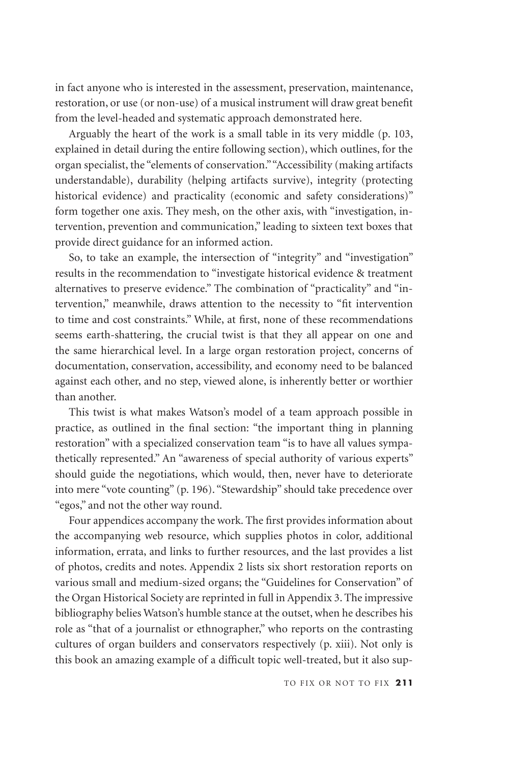in fact anyone who is interested in the assessment, preservation, maintenance, restoration, or use (or non-use) of a musical instrument will draw great benefit from the level-headed and systematic approach demonstrated here.

Arguably the heart of the work is a small table in its very middle (p. 103, explained in detail during the entire following section), which outlines, for the organ specialist, the "elements of conservation." "Accessibility (making artifacts understandable), durability (helping artifacts survive), integrity (protecting historical evidence) and practicality (economic and safety considerations)" form together one axis. They mesh, on the other axis, with "investigation, intervention, prevention and communication," leading to sixteen text boxes that provide direct guidance for an informed action.

So, to take an example, the intersection of "integrity" and "investigation" results in the recommendation to "investigate historical evidence & treatment alternatives to preserve evidence." The combination of "practicality" and "intervention," meanwhile, draws attention to the necessity to "fit intervention to time and cost constraints." While, at first, none of these recommendations seems earth-shattering, the crucial twist is that they all appear on one and the same hierarchical level. In a large organ restoration project, concerns of documentation, conservation, accessibility, and economy need to be balanced against each other, and no step, viewed alone, is inherently better or worthier than another.

This twist is what makes Watson's model of a team approach possible in practice, as outlined in the final section: "the important thing in planning restoration" with a specialized conservation team "is to have all values sympathetically represented." An "awareness of special authority of various experts" should guide the negotiations, which would, then, never have to deteriorate into mere "vote counting" (p. 196). "Stewardship" should take precedence over "egos," and not the other way round.

Four appendices accompany the work. The first provides information about the accompanying web resource, which supplies photos in color, additional information, errata, and links to further resources, and the last provides a list of photos, credits and notes. Appendix 2 lists six short restoration reports on various small and medium-sized organs; the "Guidelines for Conservation" of the Organ Historical Society are reprinted in full in Appendix 3. The impressive bibliography belies Watson's humble stance at the outset, when he describes his role as "that of a journalist or ethnographer," who reports on the contrasting cultures of organ builders and conservators respectively (p. xiii). Not only is this book an amazing example of a difficult topic well-treated, but it also sup